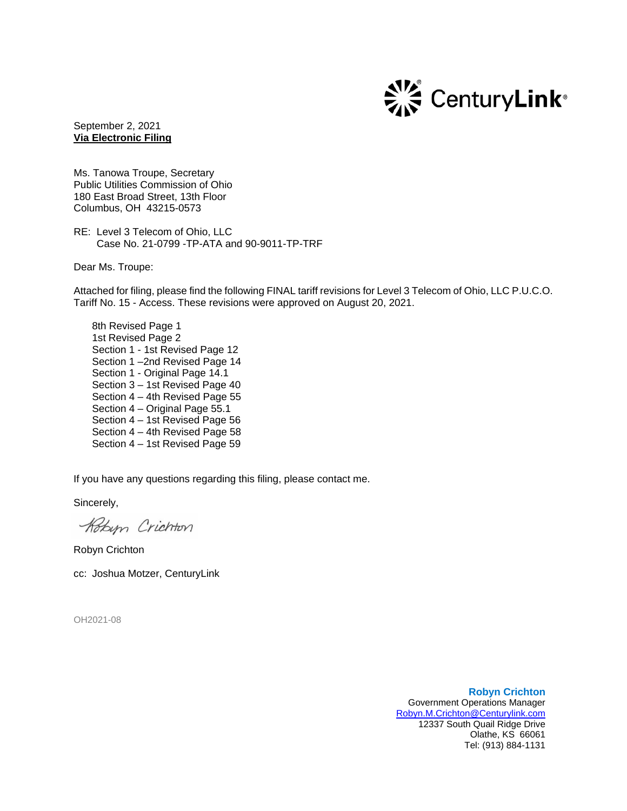

September 2, 2021 **Via Electronic Filing**

Ms. Tanowa Troupe, Secretary Public Utilities Commission of Ohio 180 East Broad Street, 13th Floor Columbus, OH 43215-0573

RE: Level 3 Telecom of Ohio, LLC Case No. 21-0799 -TP-ATA and 90-9011-TP-TRF

Dear Ms. Troupe:

Attached for filing, please find the following FINAL tariff revisions for Level 3 Telecom of Ohio, LLC P.U.C.O. Tariff No. 15 - Access. These revisions were approved on August 20, 2021.

8th Revised Page 1 1st Revised Page 2 Section 1 - 1st Revised Page 12 Section 1 –2nd Revised Page 14 Section 1 - Original Page 14.1 Section 3 – 1st Revised Page 40 Section 4 – 4th Revised Page 55 Section 4 – Original Page 55.1 Section 4 – 1st Revised Page 56 Section 4 – 4th Revised Page 58 Section 4 – 1st Revised Page 59

If you have any questions regarding this filing, please contact me.

Sincerely,

Kobyn Crichton

Robyn Crichton

cc: Joshua Motzer, CenturyLink

OH2021-08

**Robyn Crichton** Government Operations Manager [Robyn.M.Crichton@Centurylink.com](mailto:Robyn.M.Crichton@Centurylink.com) 12337 South Quail Ridge Drive Olathe, KS 66061 Tel: (913) 884-1131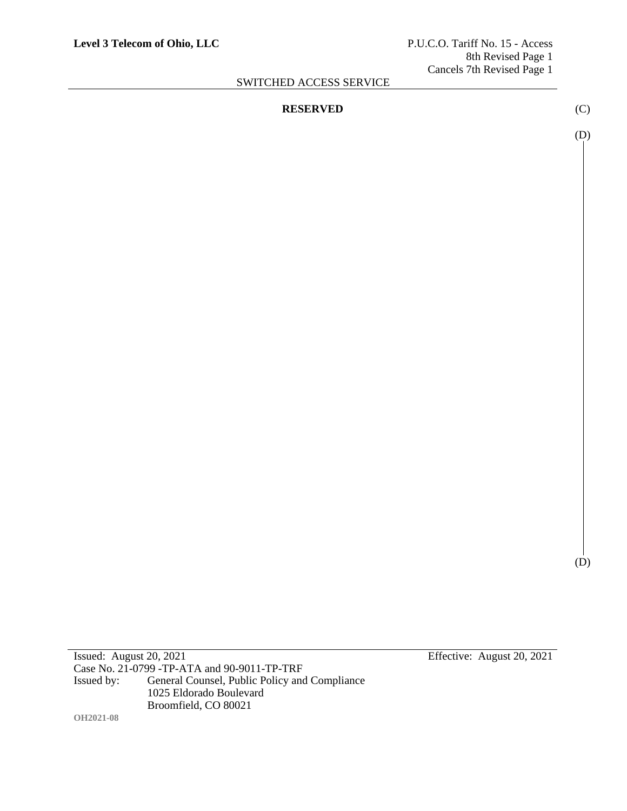#### **RESERVED** (C)

(D)

(D)

Case No. 21-0799 -TP-ATA and 90-9011-TP-TRF<br>Issued by: General Counsel, Public Policy and General Counsel, Public Policy and Compliance 1025 Eldorado Boulevard Broomfield, CO 80021 **OH2021-08**

Issued: August 20, 2021 Effective: August 20, 2021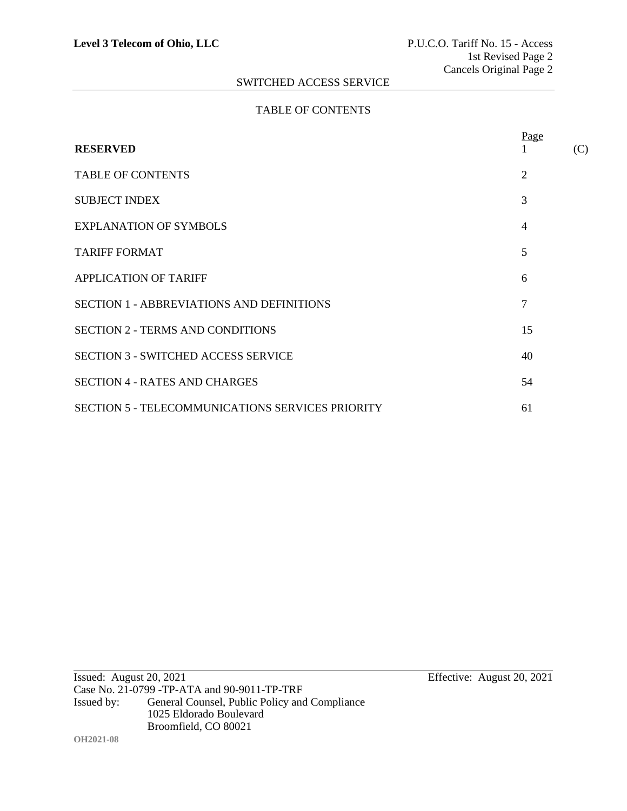#### TABLE OF CONTENTS

| <b>RESERVED</b>                                         | Page           | (C) |
|---------------------------------------------------------|----------------|-----|
| <b>TABLE OF CONTENTS</b>                                | 2              |     |
| <b>SUBJECT INDEX</b>                                    | 3              |     |
| <b>EXPLANATION OF SYMBOLS</b>                           | $\overline{4}$ |     |
| <b>TARIFF FORMAT</b>                                    | 5              |     |
| <b>APPLICATION OF TARIFF</b>                            | 6              |     |
| <b>SECTION 1 - ABBREVIATIONS AND DEFINITIONS</b>        | 7              |     |
| <b>SECTION 2 - TERMS AND CONDITIONS</b>                 | 15             |     |
| <b>SECTION 3 - SWITCHED ACCESS SERVICE</b>              | 40             |     |
| <b>SECTION 4 - RATES AND CHARGES</b>                    | 54             |     |
| <b>SECTION 5 - TELECOMMUNICATIONS SERVICES PRIORITY</b> | 61             |     |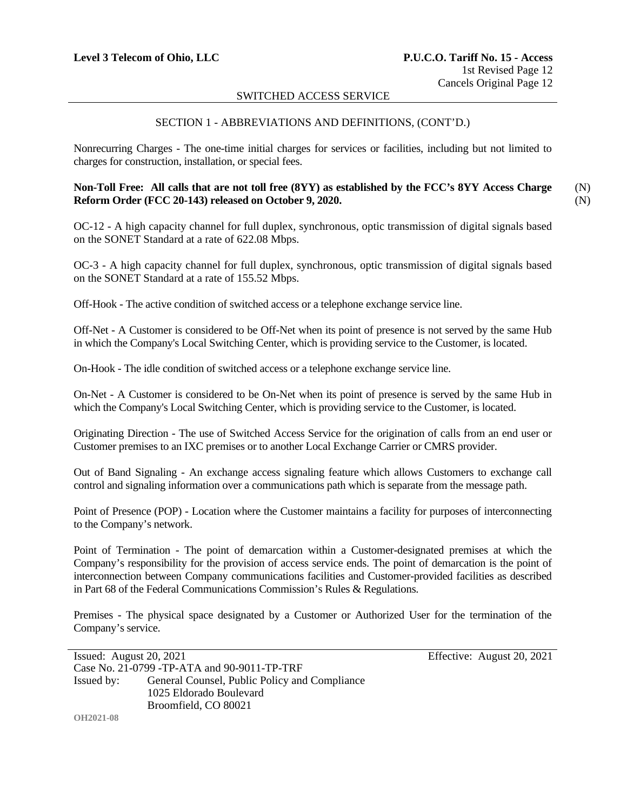#### SECTION 1 - ABBREVIATIONS AND DEFINITIONS, (CONT'D.)

Nonrecurring Charges - The one-time initial charges for services or facilities, including but not limited to charges for construction, installation, or special fees.

#### **Non-Toll Free: All calls that are not toll free (8YY) as established by the FCC's 8YY Access Charge Reform Order (FCC 20-143) released on October 9, 2020.** (N) (N)

OC-12 - A high capacity channel for full duplex, synchronous, optic transmission of digital signals based on the SONET Standard at a rate of 622.08 Mbps.

OC-3 - A high capacity channel for full duplex, synchronous, optic transmission of digital signals based on the SONET Standard at a rate of 155.52 Mbps.

Off-Hook - The active condition of switched access or a telephone exchange service line.

Off-Net - A Customer is considered to be Off-Net when its point of presence is not served by the same Hub in which the Company's Local Switching Center, which is providing service to the Customer, is located.

On-Hook - The idle condition of switched access or a telephone exchange service line.

On-Net - A Customer is considered to be On-Net when its point of presence is served by the same Hub in which the Company's Local Switching Center, which is providing service to the Customer, is located.

Originating Direction - The use of Switched Access Service for the origination of calls from an end user or Customer premises to an IXC premises or to another Local Exchange Carrier or CMRS provider.

Out of Band Signaling - An exchange access signaling feature which allows Customers to exchange call control and signaling information over a communications path which is separate from the message path.

Point of Presence (POP) - Location where the Customer maintains a facility for purposes of interconnecting to the Company's network.

Point of Termination - The point of demarcation within a Customer-designated premises at which the Company's responsibility for the provision of access service ends. The point of demarcation is the point of interconnection between Company communications facilities and Customer-provided facilities as described in Part 68 of the Federal Communications Commission's Rules & Regulations.

Premises - The physical space designated by a Customer or Authorized User for the termination of the Company's service.

| Issued: August $20, 2021$ |                                               | Effective: August 20, 2021 |
|---------------------------|-----------------------------------------------|----------------------------|
|                           | Case No. 21-0799 - TP-ATA and 90-9011-TP-TRF  |                            |
| Issued by:                | General Counsel, Public Policy and Compliance |                            |
|                           | 1025 Eldorado Boulevard                       |                            |
|                           | Broomfield, CO 80021                          |                            |

**OH2021-08**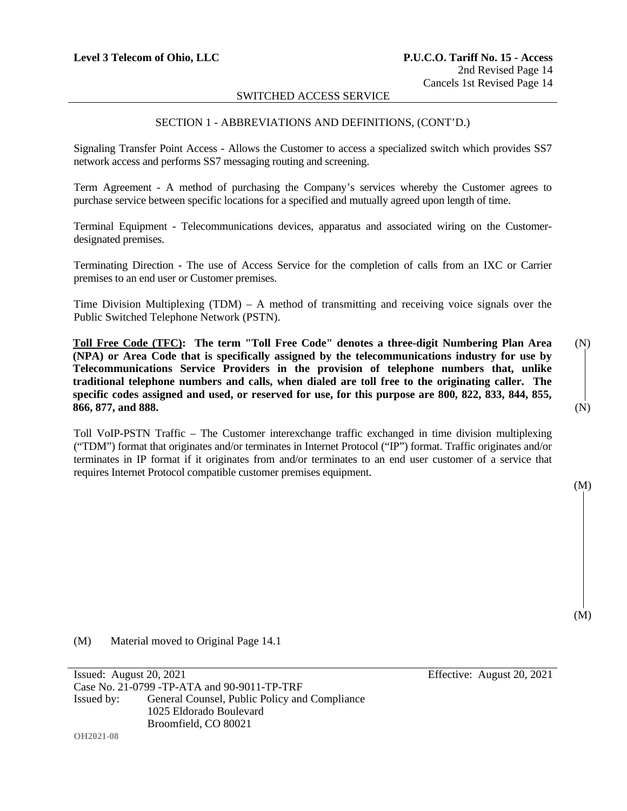#### SECTION 1 - ABBREVIATIONS AND DEFINITIONS, (CONT'D.)

Signaling Transfer Point Access - Allows the Customer to access a specialized switch which provides SS7 network access and performs SS7 messaging routing and screening.

Term Agreement - A method of purchasing the Company's services whereby the Customer agrees to purchase service between specific locations for a specified and mutually agreed upon length of time.

Terminal Equipment - Telecommunications devices, apparatus and associated wiring on the Customerdesignated premises.

Terminating Direction - The use of Access Service for the completion of calls from an IXC or Carrier premises to an end user or Customer premises.

Time Division Multiplexing (TDM) – A method of transmitting and receiving voice signals over the Public Switched Telephone Network (PSTN).

**Toll Free Code (TFC): The term "Toll Free Code" denotes a three-digit Numbering Plan Area (NPA) or Area Code that is specifically assigned by the telecommunications industry for use by Telecommunications Service Providers in the provision of telephone numbers that, unlike traditional telephone numbers and calls, when dialed are toll free to the originating caller. The specific codes assigned and used, or reserved for use, for this purpose are 800, 822, 833, 844, 855, 866, 877, and 888.** (N)

Toll VoIP-PSTN Traffic – The Customer interexchange traffic exchanged in time division multiplexing ("TDM") format that originates and/or terminates in Internet Protocol ("IP") format. Traffic originates and/or terminates in IP format if it originates from and/or terminates to an end user customer of a service that requires Internet Protocol compatible customer premises equipment.

(M)

(M)

(M) Material moved to Original Page 14.1

Issued: August 20, 2021 Effective: August 20, 2021 Case No. 21-0799 -TP-ATA and 90-9011-TP-TRF Issued by: General Counsel, Public Policy and Compliance 1025 Eldorado Boulevard Broomfield, CO 80021

**OH2021-08**

(N)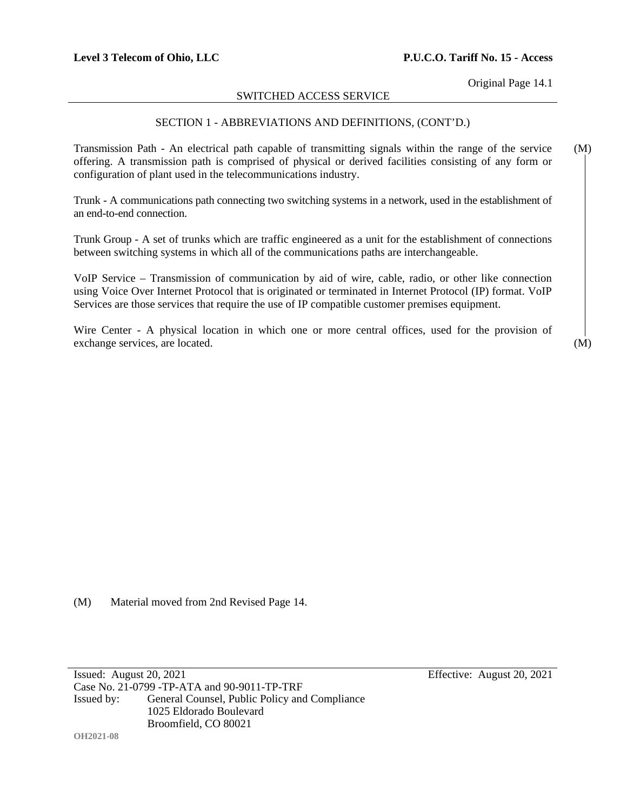Original Page 14.1

#### SWITCHED ACCESS SERVICE

#### SECTION 1 - ABBREVIATIONS AND DEFINITIONS, (CONT'D.)

Transmission Path - An electrical path capable of transmitting signals within the range of the service offering. A transmission path is comprised of physical or derived facilities consisting of any form or configuration of plant used in the telecommunications industry. (M)

Trunk - A communications path connecting two switching systems in a network, used in the establishment of an end-to-end connection.

Trunk Group - A set of trunks which are traffic engineered as a unit for the establishment of connections between switching systems in which all of the communications paths are interchangeable.

VoIP Service – Transmission of communication by aid of wire, cable, radio, or other like connection using Voice Over Internet Protocol that is originated or terminated in Internet Protocol (IP) format. VoIP Services are those services that require the use of IP compatible customer premises equipment.

Wire Center - A physical location in which one or more central offices, used for the provision of exchange services, are located.

(M) Material moved from 2nd Revised Page 14.

Issued: August 20, 2021 Effective: August 20, 2021 Case No. 21-0799 -TP-ATA and 90-9011-TP-TRF Issued by: General Counsel, Public Policy and Compliance 1025 Eldorado Boulevard Broomfield, CO 80021

**OH2021-08**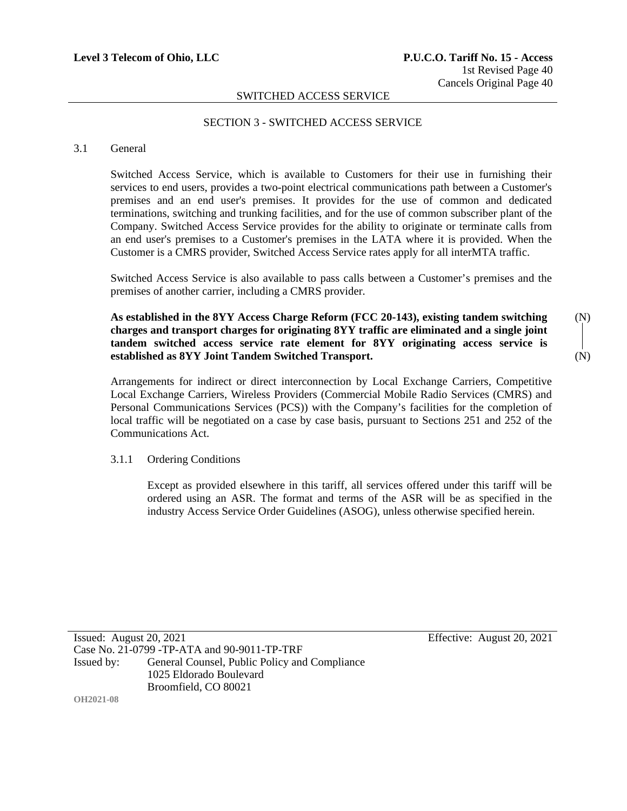#### SECTION 3 - SWITCHED ACCESS SERVICE

#### 3.1 General

**OH2021-08**

Switched Access Service, which is available to Customers for their use in furnishing their services to end users, provides a two-point electrical communications path between a Customer's premises and an end user's premises. It provides for the use of common and dedicated terminations, switching and trunking facilities, and for the use of common subscriber plant of the Company. Switched Access Service provides for the ability to originate or terminate calls from an end user's premises to a Customer's premises in the LATA where it is provided. When the Customer is a CMRS provider, Switched Access Service rates apply for all interMTA traffic.

Switched Access Service is also available to pass calls between a Customer's premises and the premises of another carrier, including a CMRS provider.

**As established in the 8YY Access Charge Reform (FCC 20-143), existing tandem switching charges and transport charges for originating 8YY traffic are eliminated and a single joint tandem switched access service rate element for 8YY originating access service is established as 8YY Joint Tandem Switched Transport.**

Arrangements for indirect or direct interconnection by Local Exchange Carriers, Competitive Local Exchange Carriers, Wireless Providers (Commercial Mobile Radio Services (CMRS) and Personal Communications Services (PCS)) with the Company's facilities for the completion of local traffic will be negotiated on a case by case basis, pursuant to Sections 251 and 252 of the Communications Act.

#### 3.1.1 Ordering Conditions

Except as provided elsewhere in this tariff, all services offered under this tariff will be ordered using an ASR. The format and terms of the ASR will be as specified in the industry Access Service Order Guidelines (ASOG), unless otherwise specified herein.

Issued: August 20, 2021 Effective: August 20, 2021 Case No. 21-0799 -TP-ATA and 90-9011-TP-TRF Issued by: General Counsel, Public Policy and Compliance 1025 Eldorado Boulevard Broomfield, CO 80021

(N) (N)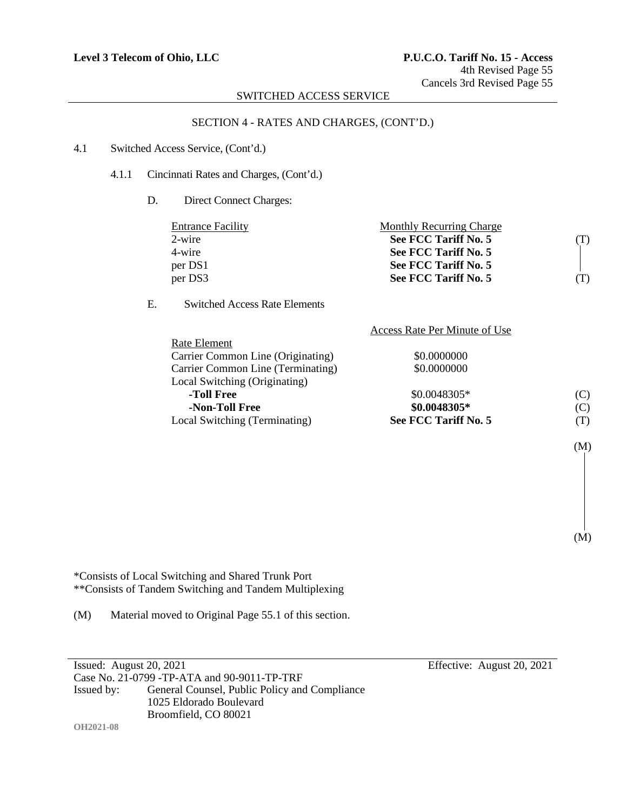#### SECTION 4 - RATES AND CHARGES, (CONT'D.)

#### 4.1 Switched Access Service, (Cont'd.)

4.1.1 Cincinnati Rates and Charges, (Cont'd.)

D. Direct Connect Charges:

|    | <b>Entrance Facility</b>             | <b>Monthly Recurring Charge</b> |     |
|----|--------------------------------------|---------------------------------|-----|
|    | $2$ -wire                            | See FCC Tariff No. 5            | (1) |
|    | 4-wire                               | See FCC Tariff No. 5            |     |
|    | per DS1                              | See FCC Tariff No. 5            |     |
|    | per DS3                              | See FCC Tariff No. 5            |     |
| E. | <b>Switched Access Rate Elements</b> |                                 |     |
|    |                                      | Access Rate Per Minute of Use   |     |
|    | <b>D</b> ate Element                 |                                 |     |

| Local Switching (Terminating)     | See FCC Tariff No. 5 | (T) |
|-----------------------------------|----------------------|-----|
| -Non-Toll Free                    | \$0.0048305*         | (C) |
| -Toll Free                        | \$0.0048305*         | (C) |
| Local Switching (Originating)     |                      |     |
| Carrier Common Line (Terminating) | \$0.0000000          |     |
| Carrier Common Line (Originating) | \$0.0000000          |     |
| NAIC LICHICHI                     |                      |     |

\*Consists of Local Switching and Shared Trunk Port \*\*Consists of Tandem Switching and Tandem Multiplexing

(M) Material moved to Original Page 55.1 of this section.

Issued: August 20, 2021 Effective: August 20, 2021 Case No. 21-0799 -TP-ATA and 90-9011-TP-TRF Issued by: General Counsel, Public Policy and Compliance 1025 Eldorado Boulevard Broomfield, CO 80021

(M)

(M)

**OH2021-08**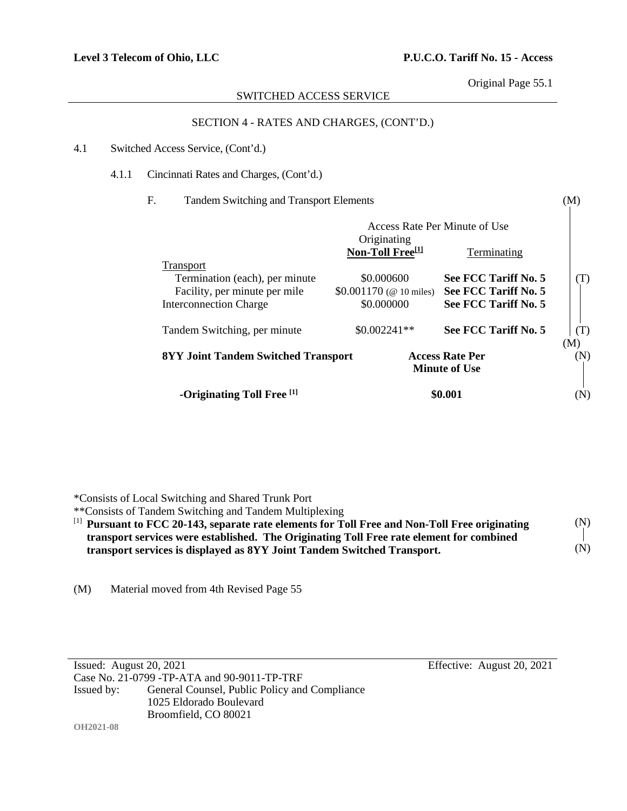Original Page 55.1

(M)

#### SWITCHED ACCESS SERVICE

#### SECTION 4 - RATES AND CHARGES, (CONT'D.)

#### 4.1 Switched Access Service, (Cont'd.)

4.1.1 Cincinnati Rates and Charges, (Cont'd.)

#### F. Tandem Switching and Transport Elements

| Access Rate Per Minute of Use                                                                |                                             |                      |            |
|----------------------------------------------------------------------------------------------|---------------------------------------------|----------------------|------------|
|                                                                                              | Originating<br>Non-Toll Free <sup>[1]</sup> | Terminating          |            |
| <b>Transport</b><br>Termination (each), per minute                                           | \$0.000600                                  | See FCC Tariff No. 5 | (T)        |
| Facility, per minute per mile                                                                | \$0.001170 ( $\circledcirc$ 10 miles)       | See FCC Tariff No. 5 |            |
| <b>Interconnection Charge</b>                                                                | \$0.000000                                  | See FCC Tariff No. 5 |            |
| Tandem Switching, per minute                                                                 | $$0.002241**$$                              | See FCC Tariff No. 5 | (T)        |
| <b>Access Rate Per</b><br><b>8YY Joint Tandem Switched Transport</b><br><b>Minute of Use</b> |                                             |                      | (M)<br>(N) |
| -Originating Toll Free [1]                                                                   |                                             | \$0.001              | (N)        |

\*Consists of Local Switching and Shared Trunk Port

\*\*Consists of Tandem Switching and Tandem Multiplexing

| <sup>[1]</sup> Pursuant to FCC 20-143, separate rate elements for Toll Free and Non-Toll Free originating | (N) |
|-----------------------------------------------------------------------------------------------------------|-----|
| transport services were established. The Originating Toll Free rate element for combined                  |     |
| transport services is displayed as 8YY Joint Tandem Switched Transport.                                   | (N) |

(M) Material moved from 4th Revised Page 55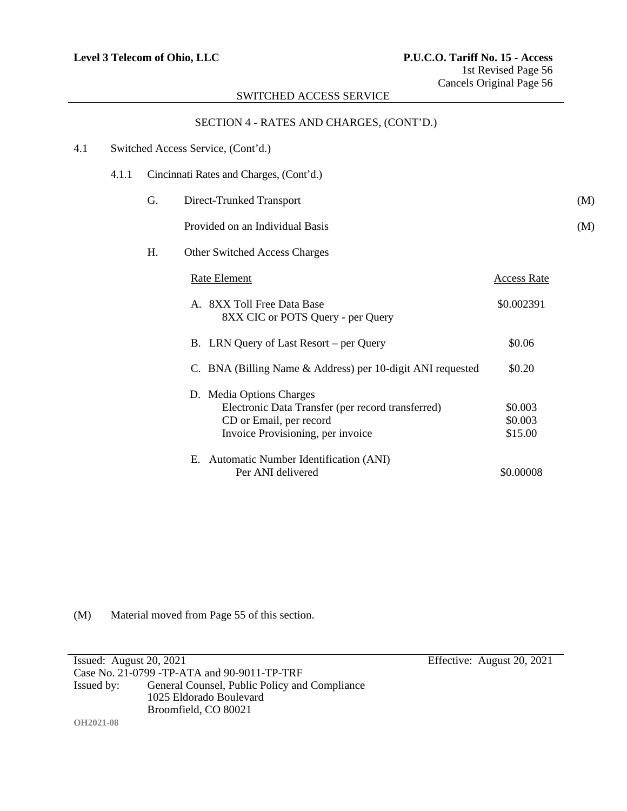#### SECTION 4 - RATES AND CHARGES, (CONT'D.)

| 4.1 |       |    | Switched Access Service, (Cont'd.)                                                                                                            |                               |     |
|-----|-------|----|-----------------------------------------------------------------------------------------------------------------------------------------------|-------------------------------|-----|
|     | 4.1.1 |    | Cincinnati Rates and Charges, (Cont'd.)                                                                                                       |                               |     |
|     |       | G. | Direct-Trunked Transport                                                                                                                      |                               | (M) |
|     |       |    | Provided on an Individual Basis                                                                                                               |                               | (M) |
|     |       | Η. | <b>Other Switched Access Charges</b>                                                                                                          |                               |     |
|     |       |    | <b>Rate Element</b>                                                                                                                           | <b>Access Rate</b>            |     |
|     |       |    | A. 8XX Toll Free Data Base<br>8XX CIC or POTS Query - per Query                                                                               | \$0.002391                    |     |
|     |       |    | B. LRN Query of Last Resort – per Query                                                                                                       | \$0.06                        |     |
|     |       |    | C. BNA (Billing Name & Address) per 10-digit ANI requested                                                                                    | \$0.20                        |     |
|     |       |    | D. Media Options Charges<br>Electronic Data Transfer (per record transferred)<br>CD or Email, per record<br>Invoice Provisioning, per invoice | \$0.003<br>\$0.003<br>\$15.00 |     |
|     |       |    | E. Automatic Number Identification (ANI)<br>Per ANI delivered                                                                                 | \$0.00008                     |     |

(M) Material moved from Page 55 of this section.

Issued: August 20, 2021 Effective: August 20, 2021 Case No. 21-0799 -TP-ATA and 90-9011-TP-TRF<br>Issued by: General Counsel, Public Policy and General Counsel, Public Policy and Compliance 1025 Eldorado Boulevard Broomfield, CO 80021 **OH2021-08**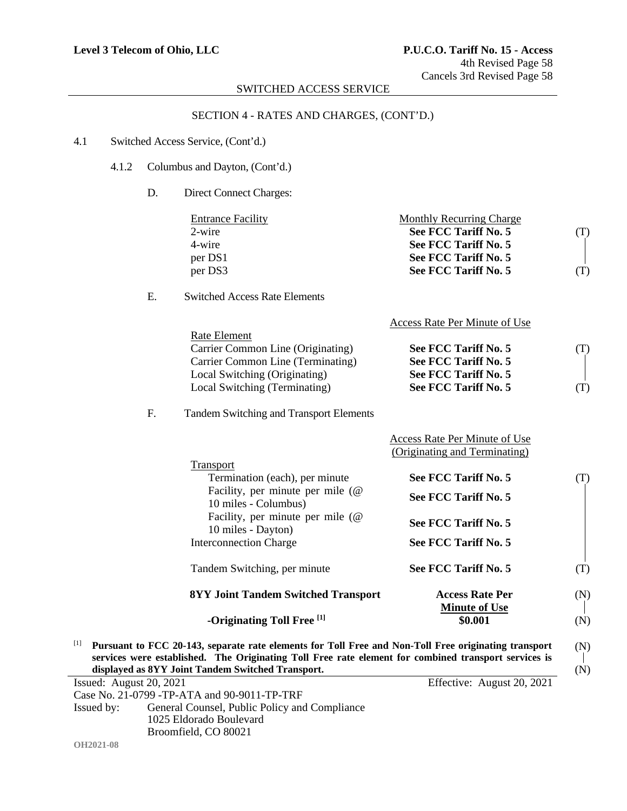## SECTION 4 - RATES AND CHARGES, (CONT'D.)

#### 4.1 Switched Access Service, (Cont'd.)

- 4.1.2 Columbus and Dayton, (Cont'd.)
	- D. Direct Connect Charges:

| <b>Entrance Facility</b> | Monthly Recurring Charge |  |
|--------------------------|--------------------------|--|
| 2-wire                   | See FCC Tariff No. 5     |  |
| 4-wire                   | See FCC Tariff No. 5     |  |
| per DS1                  | See FCC Tariff No. 5     |  |
| per DS3                  | See FCC Tariff No. 5     |  |
|                          |                          |  |

#### E. Switched Access Rate Elements

|                                   | Access Rate Per Minute of Use |     |
|-----------------------------------|-------------------------------|-----|
| Rate Element                      |                               |     |
| Carrier Common Line (Originating) | See FCC Tariff No. 5          | (T) |
| Carrier Common Line (Terminating) | See FCC Tariff No. 5          |     |
| Local Switching (Originating)     | See FCC Tariff No. 5          |     |
| Local Switching (Terminating)     | See FCC Tariff No. 5          | (T) |

#### F. Tandem Switching and Transport Elements

| -Originating Toll Free [1]                                          | \$0.001                                                        | (N) |
|---------------------------------------------------------------------|----------------------------------------------------------------|-----|
| <b>8YY Joint Tandem Switched Transport</b>                          | <b>Access Rate Per</b><br><b>Minute of Use</b>                 | (N) |
| Tandem Switching, per minute                                        | See FCC Tariff No. 5                                           | (T) |
| <b>Interconnection Charge</b>                                       | See FCC Tariff No. 5                                           |     |
| Facility, per minute per mile $(\mathcal{Q})$<br>10 miles - Dayton) | See FCC Tariff No. 5                                           |     |
| Facility, per minute per mile $(\omega)$<br>10 miles - Columbus)    | See FCC Tariff No. 5                                           |     |
| <b>Transport</b><br>Termination (each), per minute                  | See FCC Tariff No. 5                                           | (T) |
|                                                                     | Access Rate Per Minute of Use<br>(Originating and Terminating) |     |

[1] **Pursuant to FCC 20-143, separate rate elements for Toll Free and Non-Toll Free originating transport services were established. The Originating Toll Free rate element for combined transport services is displayed as 8YY Joint Tandem Switched Transport.** (N) (N)

| Issued: August $20, 2021$ |                                               | Effective: August 20, 2021 |
|---------------------------|-----------------------------------------------|----------------------------|
|                           | Case No. 21-0799 - TP-ATA and 90-9011-TP-TRF  |                            |
| Issued by:                | General Counsel, Public Policy and Compliance |                            |
|                           | 1025 Eldorado Boulevard                       |                            |
|                           | Broomfield, CO 80021                          |                            |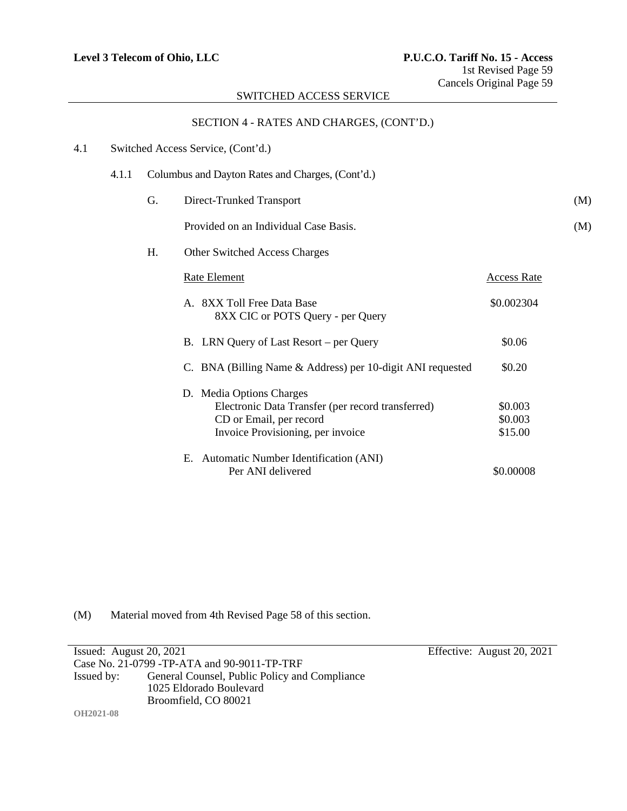# SECTION 4 - RATES AND CHARGES, (CONT'D.)

| 4.1 |       |    | Switched Access Service, (Cont'd.)                                                                                                            |                               |     |
|-----|-------|----|-----------------------------------------------------------------------------------------------------------------------------------------------|-------------------------------|-----|
|     | 4.1.1 |    | Columbus and Dayton Rates and Charges, (Cont'd.)                                                                                              |                               |     |
|     |       | G. | Direct-Trunked Transport                                                                                                                      |                               | (M) |
|     |       |    | Provided on an Individual Case Basis.                                                                                                         |                               | (M) |
|     |       | H. | Other Switched Access Charges                                                                                                                 |                               |     |
|     |       |    | <b>Rate Element</b>                                                                                                                           | <b>Access Rate</b>            |     |
|     |       |    | A. 8XX Toll Free Data Base<br>8XX CIC or POTS Query - per Query                                                                               | \$0.002304                    |     |
|     |       |    | B. LRN Query of Last Resort – per Query                                                                                                       | \$0.06                        |     |
|     |       |    | C. BNA (Billing Name & Address) per 10-digit ANI requested                                                                                    | \$0.20                        |     |
|     |       |    | D. Media Options Charges<br>Electronic Data Transfer (per record transferred)<br>CD or Email, per record<br>Invoice Provisioning, per invoice | \$0.003<br>\$0.003<br>\$15.00 |     |
|     |       |    | E. Automatic Number Identification (ANI)<br>Per ANI delivered                                                                                 | \$0.00008                     |     |

(M) Material moved from 4th Revised Page 58 of this section.

| Issued: August $20, 2021$                    |                                               | Effective: August 20, 2021 |
|----------------------------------------------|-----------------------------------------------|----------------------------|
| Case No. 21-0799 - TP-ATA and 90-9011-TP-TRF |                                               |                            |
| Issued by:                                   | General Counsel, Public Policy and Compliance |                            |
|                                              | 1025 Eldorado Boulevard                       |                            |
|                                              | Broomfield, CO 80021                          |                            |
| <b>OH2021-08</b>                             |                                               |                            |